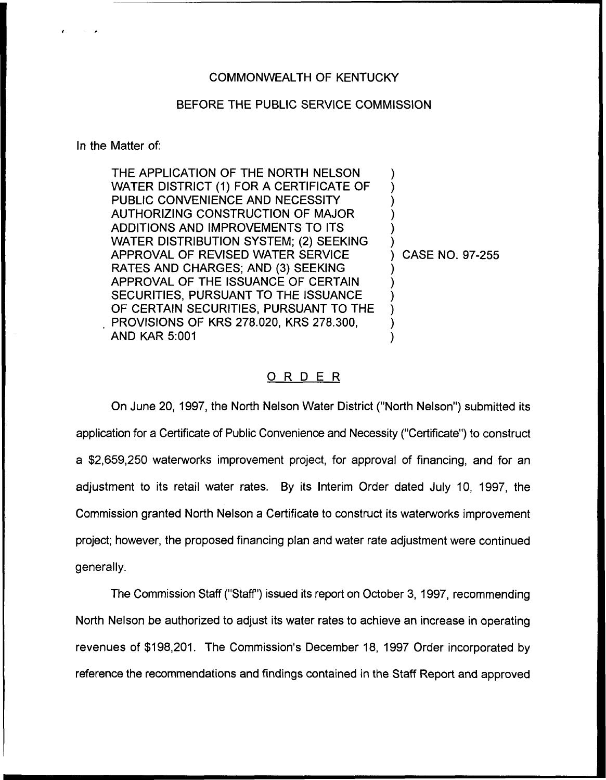## COMMONWEALTH OF KENTUCKY

## BEFORE THE PUBLIC SERVICE COMMISSION

In the Matter of:

THE APPLICATION OF THE NORTH NELSON WATER DISTRICT (1) FOR A CERTIFICATE OF PUBLIC CONVENIENCE AND NECESSITY AUTHORIZING CONSTRUCTION OF MAJOR ADDITIONS AND IMPROVEMENTS TO ITS WATER DISTRIBUTION SYSTEM; (2) SEEKING APPROVAL OF REVISED WATER SERVICE RATES AND CHARGES; AND (3) SEEKING APPROVAL OF THE ISSUANCE OF CERTAIN SECURITIES, PURSUANT TO THE ISSUANCE OF CERTAIN SECURITIES, PURSUANT TO THE PROVISIONS OF KRS 278.020, KRS 278.300, AND KAR 5:001 ) ) ) ) ) ) ) CASE NO. 97-255 ) ) ) ) ) )

## ORDER

On June 20, 1997, the North Nelson Water District ("North Nelson") submitted its application for a Certificate of Public Convenience and Necessity ("Certificate") to constru<mark>c</mark> a \$2,659,250 waterworks improvement project, for approval of financing, and for an adjustment to its retail water rates. By its Interim Order dated July 10, 1997, the Commission granted North Nelson a Certificate to construct its waterworks improvement project; however, the proposed financing plan and water rate adjustment were continued generally.

The Commission Staff ("Staff") issued its report on October 3, 1997, recommending North Nelson be authorized to adjust its water rates to achieve an increase in operating revenues of \$198,201. The Commission's December 18, 1997 Order incorporated by reference the recommendations and findings contained in the Staff Report and approved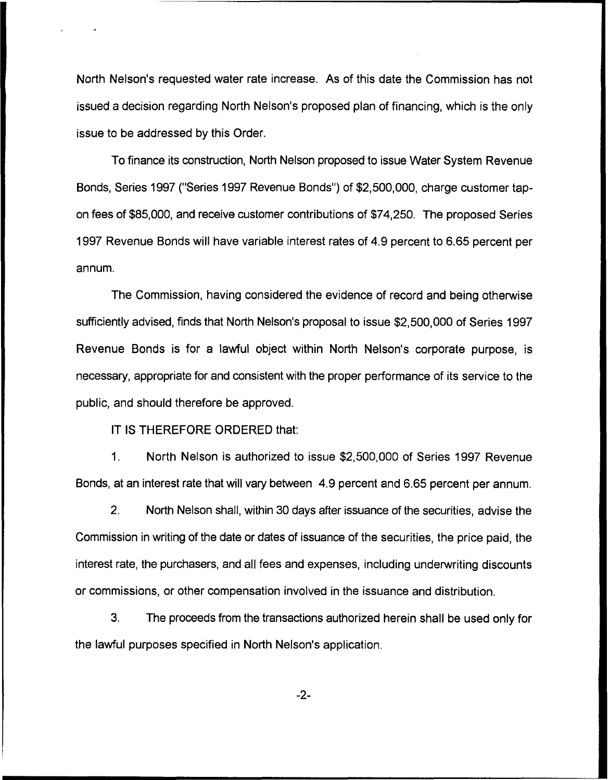North Nelson's requested water rate increase. As of this date the Commission has not issued a decision regarding North Nelson's proposed plan of financing, which is the only issue to be addressed by this Order.

To finance its construction, North Nelson proposed to issue Water System Revenue Bonds, Series 1997 ("Series 1997 Revenue Bonds") of \$2,500,000, charge customer tapon fees of \$85,000, and receive customer contributions of \$74,250. The proposed Series 1997 Revenue Bonds will have variable interest rates of 4.9 percent to 6.65 percent per annum.

The Commission, having considered the evidence of record and being otherwise sufficiently advised, finds that North Nelson's proposal to issue \$2,500,000 of Series 1997 Revenue Bonds is for a lawful object within North Nelson's corporate purpose, is necessary, appropriate for and consistent with the proper performance of its service to the public, and should therefore be approved.

IT IS THEREFORE ORDERED that:

1, North Nelson is authorized to issue \$2,500,000 of Series 1997 Revenue Bonds, at an interest rate that will vary between 4.9 percent and 6.65 percent per annum.

2. North Nelson shall, within 30 days after issuance of the securities, advise the Commission in writing of the date or dates of issuance of the securities, the price paid, the interest rate, the purchasers, and all fees and expenses, including underwriting discounts or commissions, or other compensation involved in the issuance and distribution.

3. The proceeds from the transactions authorized herein shall be used only for the lawful purposes specified in North Nelson's application.

 $-2-$